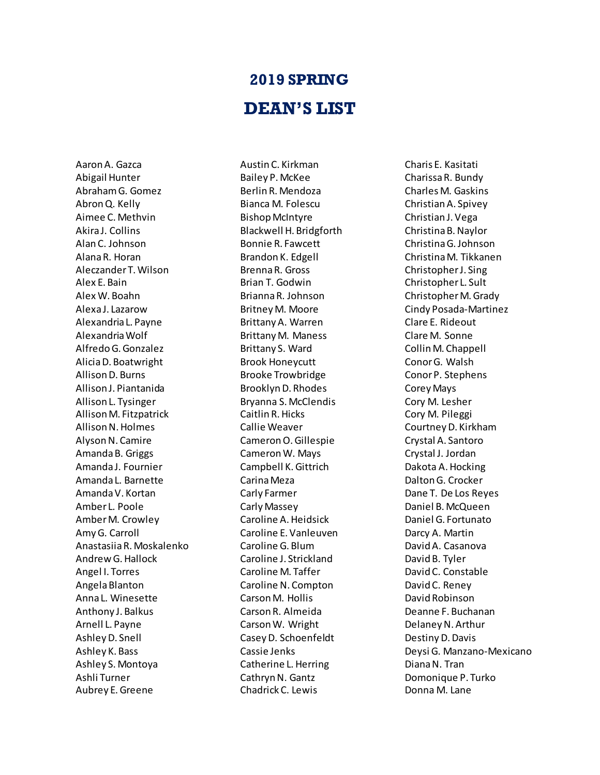## **2019 SPRING DEAN'S LIST**

Aaron A. Gazca Abigail Hunter Abraham G. Gomez Abron Q. Kelly Aimee C. Methvin Akira J. Collins Alan C. Johnson Alana R. Horan Aleczander T. Wilson Alex E. Bain Alex W. Boahn Alexa J. Lazarow Alexandria L. Payne Alexandria Wolf Alfredo G. Gonzalez Alicia D. Boatwright Allison D. Burns Allison J. Piantanida Allison L. Tysinger Allison M. Fitzpatrick Allison N. Holmes Alyson N. Camire Amanda B. Griggs Amanda J. Fournier Amanda L. Barnette Amanda V. Kortan Amber L. Poole Amber M. Crowley Amy G. Carroll Anastasiia R. Moskalenko Andrew G. Hallock Angel I. Torres Angela Blanton Anna L. Winesette Anthony J. Balkus Arnell L. Payne Ashley D. Snell Ashley K. Bass Ashley S. Montoya Ashli Turner Aubrey E. Greene

Austin C. Kirkman Bailey P. McKee Berlin R. Mendoza Bianca M. Folescu Bishop McIntyre Blackwell H. Bridgforth Bonnie R. Fawcett Brandon K. Edgell Brenna R. Gross Brian T. Godwin Brianna R. Johnson Britney M. Moore Brittany A. Warren Brittany M. Maness Brittany S. Ward Brook Honeycutt Brooke Trowbridge Brooklyn D. Rhodes Bryanna S. McClendis Caitlin R. Hicks Callie Weaver Cameron O. Gillespie Cameron W. Mays Campbell K. Gittrich Carina Meza Carly Farmer Carly Massey Caroline A. Heidsick Caroline E. Vanleuven Caroline G. Blum Caroline J. Strickland Caroline M. Taffer Caroline N. Compton Carson M. Hollis Carson R. Almeida Carson W. Wright Casey D. Schoenfeldt Cassie Jenks Catherine L. Herring Cathryn N. Gantz Chadrick C. Lewis

Charis E. Kasitati Charissa R. Bundy Charles M. Gaskins Christian A. Spivey Christian J. Vega Christina B. Naylor Christina G. Johnson Christina M. Tikkanen Christopher J. Sing Christopher L. Sult Christopher M. Grady Cindy Posada-Martinez Clare E. Rideout Clare M. Sonne Collin M. Chappell Conor G. Walsh Conor P. Stephens Corey Mays Cory M. Lesher Cory M. Pileggi Courtney D. Kirkham Crystal A. Santoro Crystal J. Jordan Dakota A. Hocking Dalton G. Crocker Dane T. De Los Reyes Daniel B. McQueen Daniel G. Fortunato Darcy A. Martin David A. Casanova David B. Tyler David C. Constable David C. Reney David Robinson Deanne F. Buchanan Delaney N. Arthur Destiny D. Davis Deysi G. Manzano-Mexicano Diana N. Tran Domonique P. Turko Donna M. Lane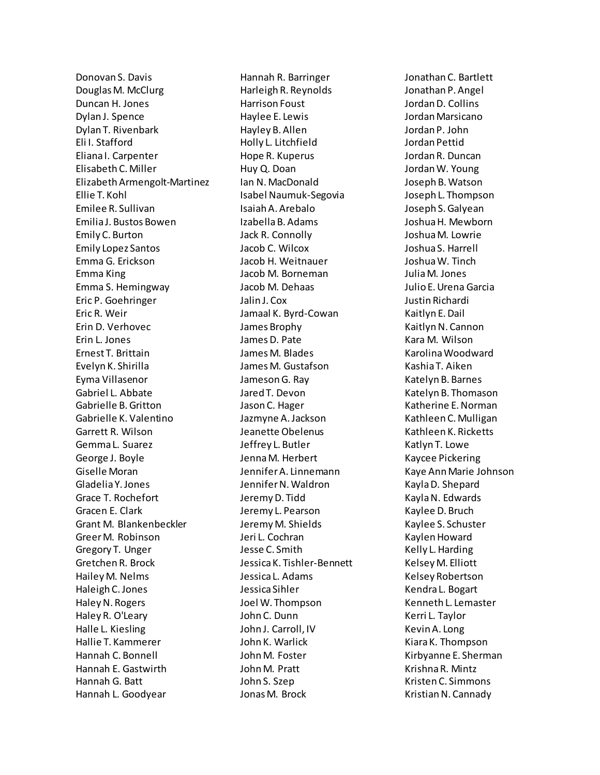Donovan S. Davis Douglas M. McClurg Duncan H. Jones Dylan J. Spence Dylan T. Rivenbark Eli I. Stafford Eliana I. Carpenter Elisabeth C. Miller Elizabeth Armengolt-Martinez Ellie T. Kohl Emilee R. Sullivan Emilia J. Bustos Bowen Emily C. Burton Emily Lopez Santos Emma G. Erickson Emma King Emma S. Hemingway Eric P. Goehringer Eric R. Weir Erin D. Verhovec Erin L. Jones Ernest T. Brittain Evelyn K. Shirilla Eyma Villasenor Gabriel L. Abbate Gabrielle B. Gritton Gabrielle K. Valentino Garrett R. Wilson Gemma L. Suarez George J. Boyle Giselle Moran Gladelia Y. Jones Grace T. Rochefort Gracen E. Clark Grant M. Blankenbeckler Greer M. Robinson Gregory T. Unger Gretchen R. Brock Hailey M. Nelms Haleigh C. Jones Haley N. Rogers Haley R. O'Leary Halle L. Kiesling Hallie T. Kammerer Hannah C. Bonnell Hannah E. Gastwirth Hannah G. Batt Hannah L. Goodyear

Hannah R. Barringer Harleigh R. Reynolds Harrison Foust Haylee E. Lewis Hayley B. Allen Holly L. Litchfield Hope R. Kuperus Huy Q. Doan Ian N. MacDonald Isabel Naumuk-Segovia Isaiah A. Arebalo Izabella B. Adams Jack R. Connolly Jacob C. Wilcox Jacob H. Weitnauer Jacob M. Borneman Jacob M. Dehaas Jalin J. Cox Jamaal K. Byrd-Cowan James Brophy James D. Pate James M. Blades James M. Gustafson Jameson G. Ray Jared T. Devon Jason C. Hager Jazmyne A. Jackson Jeanette Obelenus Jeffrey L. Butler Jenna M. Herbert Jennifer A. Linnemann Jennifer N. Waldron Jeremy D. Tidd Jeremy L. Pearson Jeremy M. Shields Jeri L. Cochran Jesse C. Smith Jessica K. Tishler-Bennett Jessica L. Adams Jessica Sihler Joel W. Thompson John C. Dunn John J. Carroll, IV John K. Warlick John M. Foster John M. Pratt John S. Szep Jonas M. Brock

Jonathan C. Bartlett Jonathan P. Angel Jordan D. Collins Jordan Marsicano Jordan P. John Jordan Pettid Jordan R. Duncan Jordan W. Young Joseph B. Watson Joseph L. Thompson Joseph S. Galyean Joshua H. Mewborn Joshua M. Lowrie Joshua S. Harrell Joshua W. Tinch Julia M. Jones Julio E. Urena Garcia Justin Richardi Kaitlyn E. Dail Kaitlyn N. Cannon Kara M. Wilson Karolina Woodward Kashia T. Aiken Katelyn B. Barnes Katelyn B. Thomason Katherine E. Norman Kathleen C. Mulligan Kathleen K. Ricketts Katlyn T. Lowe Kaycee Pickering Kaye Ann Marie Johnson Kayla D. Shepard Kayla N. Edwards Kaylee D. Bruch Kaylee S. Schuster Kaylen Howard Kelly L. Harding Kelsey M. Elliott Kelsey Robertson Kendra L. Bogart Kenneth L. Lemaster Kerri L. Taylor Kevin A. Long Kiara K. Thompson Kirbyanne E. Sherman Krishna R. Mintz Kristen C. Simmons Kristian N. Cannady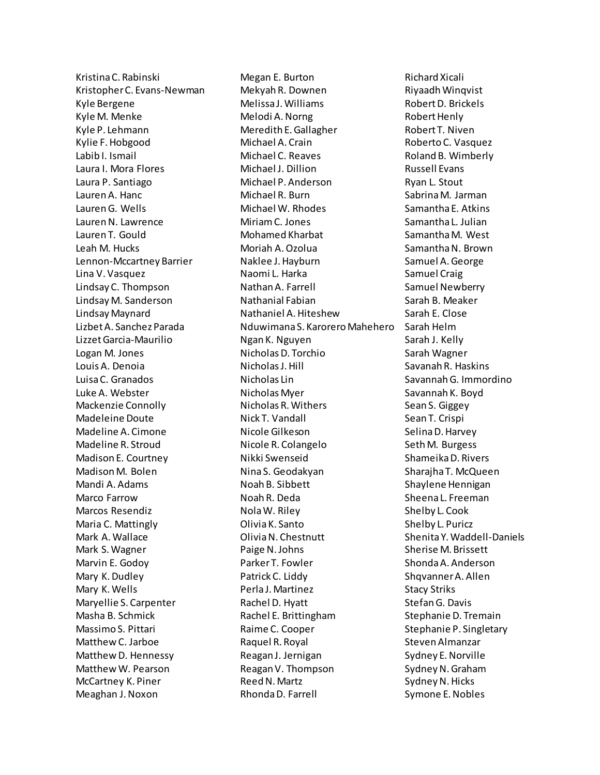Kristina C. Rabinski Kristopher C. Evans-Newman Kyle Bergene Kyle M. Menke Kyle P. Lehmann Kylie F. Hobgood Labib I. Ismail Laura I. Mora Flores Laura P. Santiago Lauren A. Hanc Lauren G. Wells Lauren N. Lawrence Lauren T. Gould Leah M. Hucks Lennon-Mccartney Barrier Lina V. Vasquez Lindsay C. Thompson Lindsay M. Sanderson Lindsay Maynard LizbetA. Sanchez Parada Lizzet Garcia-Maurilio Logan M. Jones Louis A. Denoia Luisa C. Granados Luke A. Webster Mackenzie Connolly Madeleine Doute Madeline A. Cimone Madeline R. Stroud Madison E. Courtney Madison M. Bolen Mandi A. Adams Marco Farrow Marcos Resendiz Maria C. Mattingly Mark A. Wallace Mark S. Wagner Marvin E. Godoy Mary K. Dudley Mary K. Wells Maryellie S. Carpenter Masha B. Schmick Massimo S. Pittari Matthew C. Jarboe Matthew D. Hennessy Matthew W. Pearson McCartney K. Piner Meaghan J. Noxon

Megan E. Burton Mekyah R. Downen Melissa J. Williams Melodi A. Norng Meredith E. Gallagher Michael A. Crain Michael C. Reaves Michael J. Dillion Michael P. Anderson Michael R. Burn Michael W. Rhodes Miriam C. Jones Mohamed Kharbat Moriah A. Ozolua Naklee J. Hayburn Naomi L. Harka Nathan A. Farrell Nathanial Fabian Nathaniel A. Hiteshew Nduwimana S. Karorero Mahehero Ngan K. Nguyen Nicholas D. Torchio Nicholas J. Hill Nicholas Lin Nicholas Myer Nicholas R. Withers Nick T. Vandall Nicole Gilkeson Nicole R. Colangelo Nikki Swenseid Nina S. Geodakyan Noah B. Sibbett Noah R. Deda Nola W. Riley Olivia K. Santo Olivia N. Chestnutt Paige N. Johns Parker T. Fowler Patrick C. Liddy Perla J. Martinez Rachel D. Hyatt Rachel E. Brittingham Raime C. Cooper Raquel R. Royal Reagan J. Jernigan Reagan V. Thompson Reed N. Martz Rhonda D. Farrell

Richard Xicali Riyaadh Winqvist Robert D. Brickels Robert Henly Robert T. Niven Roberto C. Vasquez Roland B. Wimberly Russell Evans Ryan L. Stout Sabrina M. Jarman Samantha E. Atkins Samantha L. Julian Samantha M. West Samantha N. Brown Samuel A. George Samuel Craig Samuel Newberry Sarah B. Meaker Sarah E. Close Sarah Helm Sarah J. Kelly Sarah Wagner Savanah R. Haskins Savannah G. Immordino Savannah K. Boyd Sean S. Giggey Sean T. Crispi Selina D. Harvey Seth M. Burgess Shameika D. Rivers Sharajha T. McQueen Shaylene Hennigan Sheena L. Freeman Shelby L. Cook Shelby L. Puricz Shenita Y. Waddell-Daniels Sherise M. Brissett Shonda A. Anderson Shqvanner A. Allen Stacy Striks Stefan G. Davis Stephanie D. Tremain Stephanie P. Singletary Steven Almanzar Sydney E. Norville Sydney N. Graham Sydney N. Hicks Symone E. Nobles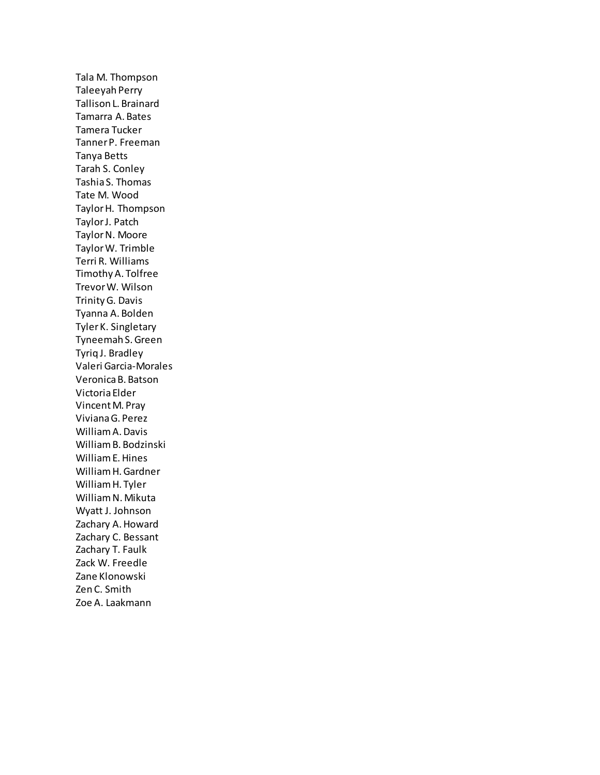Tala M. Thompson Taleeyah Perry Tallison L. Brainard Tamarra A. Bates Tamera Tucker Tanner P. Freeman Tanya Betts Tarah S. Conley Tashia S. Thomas Tate M. Wood Taylor H. Thompson Taylor J. Patch Taylor N. Moore Taylor W. Trimble Terri R. Williams Timothy A. Tolfree Trevor W. Wilson Trinity G. Davis Tyanna A. Bolden Tyler K. Singletary Tyneemah S. Green Tyriq J. Bradley Valeri Garcia-Morales Veronica B. Batson Victoria Elder Vincent M. Pray Viviana G. Perez William A. Davis William B. Bodzinski William E. Hines William H. Gardner William H. Tyler William N. Mikuta Wyatt J. Johnson Zachary A. Howard Zachary C. Bessant Zachary T. Faulk Zack W. Freedle Zane Klonowski Zen C. Smith Zoe A. Laakmann